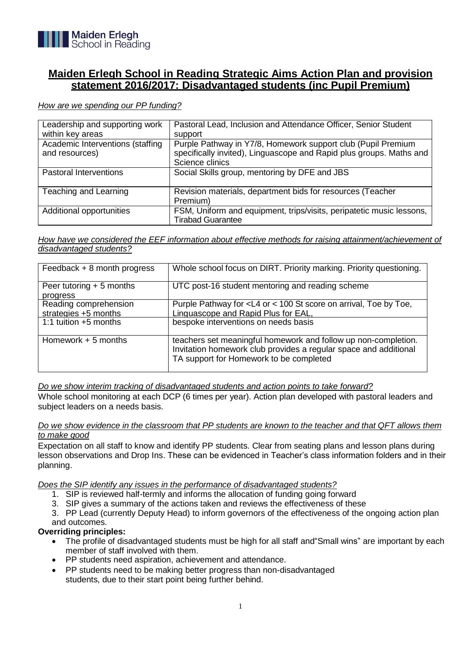

# **Maiden Erlegh School in Reading Strategic Aims Action Plan and provision statement 2016/2017: Disadvantaged students (inc Pupil Premium)**

*How are we spending our PP funding?*

| Leadership and supporting work<br>within key areas | Pastoral Lead, Inclusion and Attendance Officer, Senior Student<br>support                                                                             |
|----------------------------------------------------|--------------------------------------------------------------------------------------------------------------------------------------------------------|
| Academic Interventions (staffing<br>and resources) | Purple Pathway in Y7/8, Homework support club (Pupil Premium<br>specifically invited), Linguascope and Rapid plus groups. Maths and<br>Science clinics |
| <b>Pastoral Interventions</b>                      | Social Skills group, mentoring by DFE and JBS                                                                                                          |
| Teaching and Learning                              | Revision materials, department bids for resources (Teacher<br>Premium)                                                                                 |
| Additional opportunities                           | FSM, Uniform and equipment, trips/visits, peripatetic music lessons,<br><b>Tirabad Guarantee</b>                                                       |

*How have we considered the EEF information about effective methods for raising attainment/achievement of disadvantaged students?*

| Feedback + 8 month progress | Whole school focus on DIRT. Priority marking. Priority questioning.                                                                                                           |
|-----------------------------|-------------------------------------------------------------------------------------------------------------------------------------------------------------------------------|
| Peer tutoring $+5$ months   | UTC post-16 student mentoring and reading scheme                                                                                                                              |
| progress                    |                                                                                                                                                                               |
| Reading comprehension       | Purple Pathway for < L4 or < 100 St score on arrival, Toe by Toe,                                                                                                             |
| strategies +5 months        | Linguascope and Rapid Plus for EAL,                                                                                                                                           |
| 1:1 tuition $+5$ months     | bespoke interventions on needs basis                                                                                                                                          |
| Homework $+5$ months        | teachers set meaningful homework and follow up non-completion.<br>Invitation homework club provides a regular space and additional<br>TA support for Homework to be completed |

*Do we show interim tracking of disadvantaged students and action points to take forward?*

Whole school monitoring at each DCP (6 times per year). Action plan developed with pastoral leaders and subject leaders on a needs basis.

## *Do we show evidence in the classroom that PP students are known to the teacher and that QFT allows them to make good*

Expectation on all staff to know and identify PP students. Clear from seating plans and lesson plans during lesson observations and Drop Ins. These can be evidenced in Teacher's class information folders and in their planning.

*Does the SIP identify any issues in the performance of disadvantaged students?*

- 1. SIP is reviewed half-termly and informs the allocation of funding going forward
- 3. SIP gives a summary of the actions taken and reviews the effectiveness of these

3. PP Lead (currently Deputy Head) to inform governors of the effectiveness of the ongoing action plan and outcomes.

# **Overriding principles:**

- The profile of disadvantaged students must be high for all staff and"Small wins" are important by each member of staff involved with them.
- PP students need aspiration, achievement and attendance.
- PP students need to be making better progress than non-disadvantaged students, due to their start point being further behind.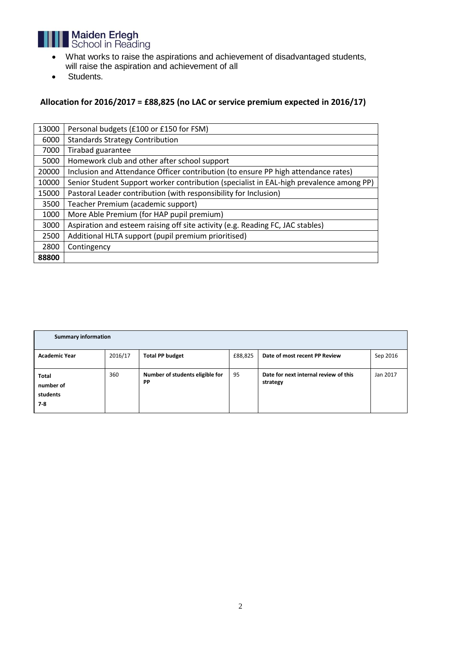

- What works to raise the aspirations and achievement of disadvantaged students, will raise the aspiration and achievement of all
- Students.

# **Allocation for 2016/2017 = £88,825 (no LAC or service premium expected in 2016/17)**

| 13000 | Personal budgets (£100 or £150 for FSM)                                                 |
|-------|-----------------------------------------------------------------------------------------|
| 6000  | <b>Standards Strategy Contribution</b>                                                  |
| 7000  | Tirabad guarantee                                                                       |
| 5000  | Homework club and other after school support                                            |
| 20000 | Inclusion and Attendance Officer contribution (to ensure PP high attendance rates)      |
| 10000 | Senior Student Support worker contribution (specialist in EAL-high prevalence among PP) |
| 15000 | Pastoral Leader contribution (with responsibility for Inclusion)                        |
| 3500  | Teacher Premium (academic support)                                                      |
| 1000  | More Able Premium (for HAP pupil premium)                                               |
| 3000  | Aspiration and esteem raising off site activity (e.g. Reading FC, JAC stables)          |
| 2500  | Additional HLTA support (pupil premium prioritised)                                     |
| 2800  | Contingency                                                                             |
| 88800 |                                                                                         |

| <b>Summary information</b>                     |         |                                       |         |                                                   |          |
|------------------------------------------------|---------|---------------------------------------|---------|---------------------------------------------------|----------|
| <b>Academic Year</b>                           | 2016/17 | <b>Total PP budget</b>                | £88,825 | Date of most recent PP Review                     | Sep 2016 |
| <b>Total</b><br>number of<br>students<br>$7-8$ | 360     | Number of students eligible for<br>PP | 95      | Date for next internal review of this<br>strategy | Jan 2017 |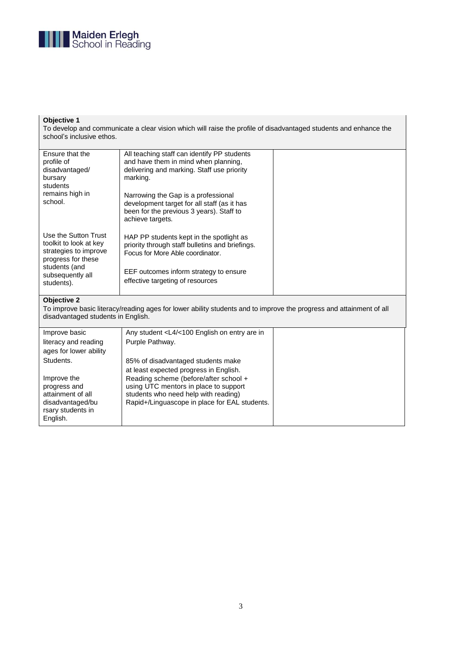

## **Objective 1**

To develop and communicate a clear vision which will raise the profile of disadvantaged students and enhance the school's inclusive ethos.

| Ensure that the<br>profile of<br>disadvantaged/<br>bursary<br>students                        | All teaching staff can identify PP students<br>and have them in mind when planning.<br>delivering and marking. Staff use priority<br>marking.      |  |
|-----------------------------------------------------------------------------------------------|----------------------------------------------------------------------------------------------------------------------------------------------------|--|
| remains high in<br>school.                                                                    | Narrowing the Gap is a professional<br>development target for all staff (as it has<br>been for the previous 3 years). Staff to<br>achieve targets. |  |
| Use the Sutton Trust<br>toolkit to look at key<br>strategies to improve<br>progress for these | HAP PP students kept in the spotlight as<br>priority through staff bulletins and briefings.<br>Focus for More Able coordinator.                    |  |
| students (and<br>subsequently all<br>students).                                               | EEF outcomes inform strategy to ensure<br>effective targeting of resources                                                                         |  |

#### **Objective 2**

To improve basic literacy/reading ages for lower ability students and to improve the progress and attainment of all disadvantaged students in English.

| Improve basic          | Any student <l4 <100="" are="" english="" entry="" in<="" on="" td=""><td></td></l4> |  |
|------------------------|--------------------------------------------------------------------------------------|--|
| literacy and reading   | Purple Pathway.                                                                      |  |
| ages for lower ability |                                                                                      |  |
| Students.              | 85% of disadvantaged students make                                                   |  |
|                        | at least expected progress in English.                                               |  |
| Improve the            | Reading scheme (before/after school +                                                |  |
| progress and           | using UTC mentors in place to support                                                |  |
| attainment of all      | students who need help with reading)                                                 |  |
| disadvantaged/bu       | Rapid+/Linguascope in place for EAL students.                                        |  |
| rsary students in      |                                                                                      |  |
| English.               |                                                                                      |  |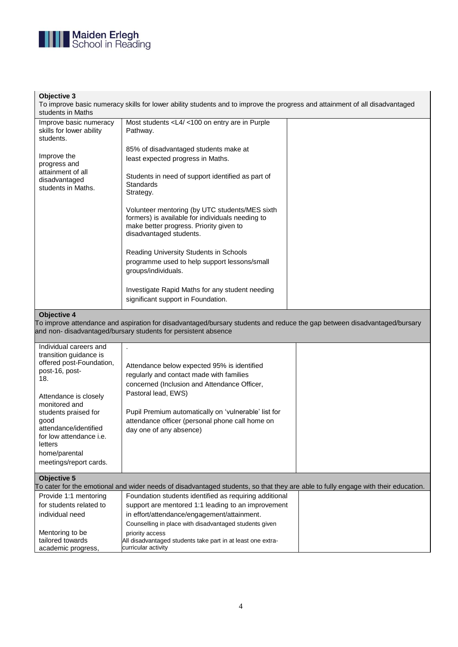

## **Objective 3**

To improve basic numeracy skills for lower ability students and to improve the progress and attainment of all disadvantaged students in Maths

| Improve basic numeracy<br>skills for lower ability<br>students.                         | Most students < L4/ < 100 on entry are in Purple<br>Pathway.                                                                                                             |  |
|-----------------------------------------------------------------------------------------|--------------------------------------------------------------------------------------------------------------------------------------------------------------------------|--|
| Improve the<br>progress and<br>attainment of all<br>disadvantaged<br>students in Maths. | 85% of disadvantaged students make at<br>least expected progress in Maths.                                                                                               |  |
|                                                                                         | Students in need of support identified as part of<br>Standards<br>Strategy.                                                                                              |  |
|                                                                                         | Volunteer mentoring (by UTC students/MES sixth<br>formers) is available for individuals needing to<br>make better progress. Priority given to<br>disadvantaged students. |  |
|                                                                                         | Reading University Students in Schools<br>programme used to help support lessons/small<br>groups/individuals.                                                            |  |
|                                                                                         | Investigate Rapid Maths for any student needing<br>significant support in Foundation.                                                                                    |  |

#### **Objective 4**

To improve attendance and aspiration for disadvantaged/bursary students and reduce the gap between disadvantaged/bursary and non- disadvantaged/bursary students for persistent absence

| Individual careers and<br>transition guidance is<br>offered post-Foundation,<br>post-16, post-<br>18.<br>Attendance is closely<br>monitored and<br>students praised for<br>good<br>attendance/identified<br>for low attendance <i>i.e.</i><br>letters<br>home/parental<br>meetings/report cards. | Attendance below expected 95% is identified<br>regularly and contact made with families<br>concerned (Inclusion and Attendance Officer,<br>Pastoral lead, EWS)<br>Pupil Premium automatically on 'vulnerable' list for<br>attendance officer (personal phone call home on<br>day one of any absence) |  |
|--------------------------------------------------------------------------------------------------------------------------------------------------------------------------------------------------------------------------------------------------------------------------------------------------|------------------------------------------------------------------------------------------------------------------------------------------------------------------------------------------------------------------------------------------------------------------------------------------------------|--|
| <b>Objective 5</b>                                                                                                                                                                                                                                                                               |                                                                                                                                                                                                                                                                                                      |  |
|                                                                                                                                                                                                                                                                                                  | To cater for the emotional and wider needs of disadvantaged students, so that they are able to fully engage with their education.                                                                                                                                                                    |  |
| Provide 1:1 mentoring                                                                                                                                                                                                                                                                            | Foundation students identified as requiring additional                                                                                                                                                                                                                                               |  |
| for students related to                                                                                                                                                                                                                                                                          | support are mentored 1:1 leading to an improvement                                                                                                                                                                                                                                                   |  |
| individual need                                                                                                                                                                                                                                                                                  | in effort/attendance/engagement/attainment.                                                                                                                                                                                                                                                          |  |
|                                                                                                                                                                                                                                                                                                  | Counselling in place with disadvantaged students given                                                                                                                                                                                                                                               |  |
| Mentoring to be                                                                                                                                                                                                                                                                                  | priority access                                                                                                                                                                                                                                                                                      |  |
| tailored towards<br>academic progress,                                                                                                                                                                                                                                                           | All disadvantaged students take part in at least one extra-<br>curricular activity                                                                                                                                                                                                                   |  |